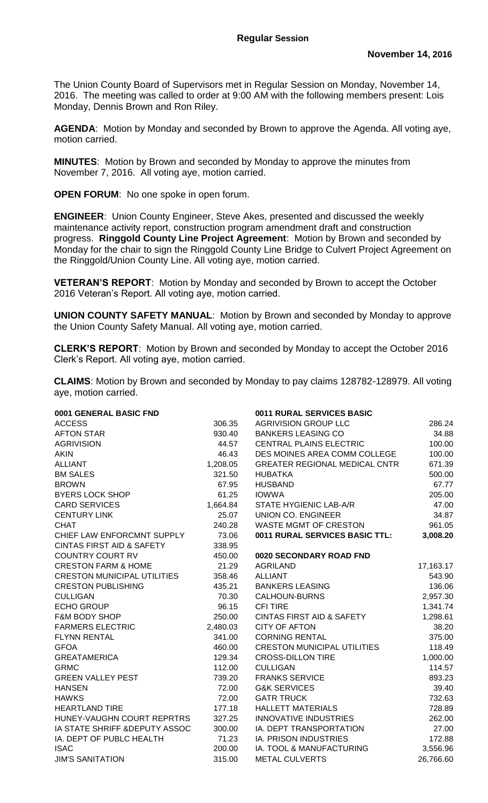The Union County Board of Supervisors met in Regular Session on Monday, November 14, 2016. The meeting was called to order at 9:00 AM with the following members present: Lois Monday, Dennis Brown and Ron Riley.

**AGENDA**: Motion by Monday and seconded by Brown to approve the Agenda. All voting aye, motion carried.

**MINUTES**: Motion by Brown and seconded by Monday to approve the minutes from November 7, 2016. All voting aye, motion carried.

**OPEN FORUM**: No one spoke in open forum.

**ENGINEER**:Union County Engineer, Steve Akes, presented and discussed the weekly maintenance activity report, construction program amendment draft and construction progress. **Ringgold County Line Project Agreement**: Motion by Brown and seconded by Monday for the chair to sign the Ringgold County Line Bridge to Culvert Project Agreement on the Ringgold/Union County Line. All voting aye, motion carried.

**VETERAN'S REPORT**: Motion by Monday and seconded by Brown to accept the October 2016 Veteran's Report. All voting aye, motion carried.

**UNION COUNTY SAFETY MANUAL**: Motion by Brown and seconded by Monday to approve the Union County Safety Manual. All voting aye, motion carried.

**CLERK'S REPORT**: Motion by Brown and seconded by Monday to accept the October 2016 Clerk's Report. All voting aye, motion carried.

**CLAIMS**: Motion by Brown and seconded by Monday to pay claims 128782-128979. All voting aye, motion carried.

| 0001 GENERAL BASIC FND               |          | 0011 RURAL SERVICES BASIC            |           |
|--------------------------------------|----------|--------------------------------------|-----------|
| <b>ACCESS</b>                        | 306.35   | <b>AGRIVISION GROUP LLC</b>          | 286.24    |
| <b>AFTON STAR</b>                    | 930.40   | <b>BANKERS LEASING CO</b>            | 34.88     |
| <b>AGRIVISION</b>                    | 44.57    | <b>CENTRAL PLAINS ELECTRIC</b>       | 100.00    |
| <b>AKIN</b>                          | 46.43    | DES MOINES AREA COMM COLLEGE         | 100.00    |
| <b>ALLIANT</b>                       | 1,208.05 | <b>GREATER REGIONAL MEDICAL CNTR</b> | 671.39    |
| <b>BM SALES</b>                      | 321.50   | <b>HUBATKA</b>                       | 500.00    |
| <b>BROWN</b>                         | 67.95    | <b>HUSBAND</b>                       | 67.77     |
| <b>BYERS LOCK SHOP</b>               | 61.25    | <b>IOWWA</b>                         | 205.00    |
| <b>CARD SERVICES</b>                 | 1,664.84 | STATE HYGIENIC LAB-A/R               | 47.00     |
| <b>CENTURY LINK</b>                  | 25.07    | <b>UNION CO. ENGINEER</b>            | 34.87     |
| <b>CHAT</b>                          | 240.28   | WASTE MGMT OF CRESTON                | 961.05    |
| CHIEF LAW ENFORCMNT SUPPLY           | 73.06    | 0011 RURAL SERVICES BASIC TTL:       | 3,008.20  |
| <b>CINTAS FIRST AID &amp; SAFETY</b> | 338.95   |                                      |           |
| <b>COUNTRY COURT RV</b>              | 450.00   | 0020 SECONDARY ROAD FND              |           |
| <b>CRESTON FARM &amp; HOME</b>       | 21.29    | AGRILAND                             | 17,163.17 |
| <b>CRESTON MUNICIPAL UTILITIES</b>   | 358.46   | <b>ALLIANT</b>                       | 543.90    |
| <b>CRESTON PUBLISHING</b>            | 435.21   | <b>BANKERS LEASING</b>               | 136.06    |
| <b>CULLIGAN</b>                      | 70.30    | CALHOUN-BURNS                        | 2,957.30  |
| <b>ECHO GROUP</b>                    | 96.15    | <b>CFI TIRE</b>                      | 1,341.74  |
| <b>F&amp;M BODY SHOP</b>             | 250.00   | <b>CINTAS FIRST AID &amp; SAFETY</b> | 1,298.61  |
| <b>FARMERS ELECTRIC</b>              | 2,480.03 | <b>CITY OF AFTON</b>                 | 38.20     |
| FLYNN RENTAL                         | 341.00   | <b>CORNING RENTAL</b>                | 375.00    |
| <b>GFOA</b>                          | 460.00   | <b>CRESTON MUNICIPAL UTILITIES</b>   | 118.49    |
| <b>GREATAMERICA</b>                  | 129.34   | <b>CROSS-DILLON TIRE</b>             | 1,000.00  |
| <b>GRMC</b>                          | 112.00   | <b>CULLIGAN</b>                      | 114.57    |
| <b>GREEN VALLEY PEST</b>             | 739.20   | <b>FRANKS SERVICE</b>                | 893.23    |
| <b>HANSEN</b>                        | 72.00    | <b>G&amp;K SERVICES</b>              | 39.40     |
| <b>HAWKS</b>                         | 72.00    | <b>GATR TRUCK</b>                    | 732.63    |
| <b>HEARTLAND TIRE</b>                | 177.18   | <b>HALLETT MATERIALS</b>             | 728.89    |
| HUNEY-VAUGHN COURT REPRTRS           | 327.25   | <b>INNOVATIVE INDUSTRIES</b>         | 262.00    |
| IA STATE SHRIFF & DEPUTY ASSOC       | 300.00   | <b>IA. DEPT TRANSPORTATION</b>       | 27.00     |
| IA. DEPT OF PUBLC HEALTH             | 71.23    | IA. PRISON INDUSTRIES                | 172.88    |
| <b>ISAC</b>                          | 200.00   | IA. TOOL & MANUFACTURING             | 3,556.96  |
| <b>JIM'S SANITATION</b>              | 315.00   | <b>METAL CULVERTS</b>                | 26,766.60 |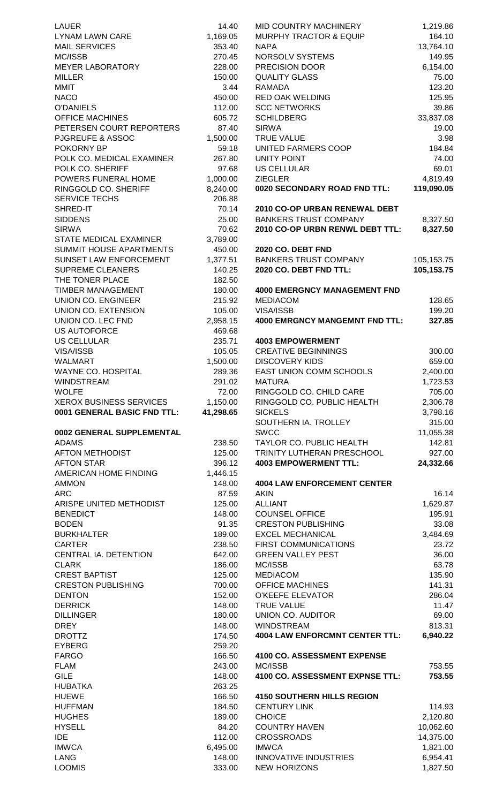| LAUER                          | 14.40            | MID COUNTRY MACHINERY                               |
|--------------------------------|------------------|-----------------------------------------------------|
| <b>LYNAM LAWN CARE</b>         | 1,169.05         | <b>MURPHY TRACTOR &amp; EQUIP</b>                   |
|                                |                  | <b>NAPA</b>                                         |
| <b>MAIL SERVICES</b>           | 353.40           |                                                     |
| MC/ISSB                        | 270.45           | NORSOLV SYSTEMS                                     |
| <b>MEYER LABORATORY</b>        | 228.00           | PRECISION DOOR                                      |
| <b>MILLER</b>                  | 150.00           | <b>QUALITY GLASS</b>                                |
| MMIT                           | 3.44             | RAMADA                                              |
| <b>NACO</b>                    | 450.00           | <b>RED OAK WELDING</b>                              |
|                                |                  |                                                     |
| <b>O'DANIELS</b>               | 112.00           | <b>SCC NETWORKS</b>                                 |
| <b>OFFICE MACHINES</b>         | 605.72           | <b>SCHILDBERG</b>                                   |
| PETERSEN COURT REPORTERS       | 87.40            | <b>SIRWA</b>                                        |
| <b>PJGREUFE &amp; ASSOC</b>    | 1,500.00         | <b>TRUE VALUE</b>                                   |
| POKORNY BP                     | 59.18            | UNITED FARMERS COOP                                 |
| POLK CO. MEDICAL EXAMINER      | 267.80           | <b>UNITY POINT</b>                                  |
|                                |                  |                                                     |
| POLK CO. SHERIFF               | 97.68            | <b>US CELLULAR</b>                                  |
| POWERS FUNERAL HOME            | 1,000.00         | <b>ZIEGLER</b>                                      |
| RINGGOLD CO. SHERIFF           | 8,240.00         | 0020 SECONDARY ROAD FND TTL:                        |
| <b>SERVICE TECHS</b>           | 206.88           |                                                     |
| SHRED-IT                       | 70.14            | 2010 CO-OP URBAN RENEWAL DEBT                       |
| <b>SIDDENS</b>                 | 25.00            | <b>BANKERS TRUST COMPANY</b>                        |
|                                |                  |                                                     |
| <b>SIRWA</b>                   | 70.62            | 2010 CO-OP URBN RENWL DEBT TTL:                     |
| <b>STATE MEDICAL EXAMINER</b>  | 3,789.00         |                                                     |
| <b>SUMMIT HOUSE APARTMENTS</b> | 450.00           | <b>2020 CO. DEBT FND</b>                            |
| SUNSET LAW ENFORCEMENT         | 1,377.51         | <b>BANKERS TRUST COMPANY</b>                        |
| <b>SUPREME CLEANERS</b>        | 140.25           | 2020 CO. DEBT FND TTL:                              |
| THE TONER PLACE                | 182.50           |                                                     |
|                                |                  |                                                     |
| <b>TIMBER MANAGEMENT</b>       | 180.00           | <b>4000 EMERGNCY MANAGEMENT FND</b>                 |
| <b>UNION CO. ENGINEER</b>      | 215.92           | <b>MEDIACOM</b>                                     |
| UNION CO. EXTENSION            | 105.00           | VISA/ISSB                                           |
| UNION CO. LEC FND              | 2,958.15         | <b>4000 EMRGNCY MANGEMNT FND TTL</b>                |
| <b>US AUTOFORCE</b>            | 469.68           |                                                     |
| <b>US CELLULAR</b>             | 235.71           | <b>4003 EMPOWERMENT</b>                             |
|                                |                  | <b>CREATIVE BEGINNINGS</b>                          |
| VISA/ISSB                      | 105.05           |                                                     |
| <b>WALMART</b>                 | 1,500.00         | <b>DISCOVERY KIDS</b>                               |
| <b>WAYNE CO. HOSPITAL</b>      | 289.36           | EAST UNION COMM SCHOOLS                             |
| <b>WINDSTREAM</b>              | 291.02           | <b>MATURA</b>                                       |
| <b>WOLFE</b>                   | 72.00            | RINGGOLD CO. CHILD CARE                             |
|                                |                  |                                                     |
|                                |                  |                                                     |
| <b>XEROX BUSINESS SERVICES</b> | 1,150.00         | RINGGOLD CO. PUBLIC HEALTH                          |
| 0001 GENERAL BASIC FND TTL:    | 41,298.65        | <b>SICKELS</b>                                      |
|                                |                  | SOUTHERN IA. TROLLEY                                |
| 0002 GENERAL SUPPLEMENTAL      |                  | <b>SWCC</b>                                         |
| <b>ADAMS</b>                   | 238.50           | TAYLOR CO. PUBLIC HEALTH                            |
| <b>AFTON METHODIST</b>         | 125.00           | TRINITY LUTHERAN PRESCHOOL                          |
|                                | 396.12           |                                                     |
| <b>AFTON STAR</b>              |                  | <b>4003 EMPOWERMENT TTL:</b>                        |
| AMERICAN HOME FINDING          | 1,446.15         |                                                     |
| <b>AMMON</b>                   | 148.00           | <b>4004 LAW ENFORCEMENT CENTER</b>                  |
| <b>ARC</b>                     | 87.59            | <b>AKIN</b>                                         |
| ARISPE UNITED METHODIST        | 125.00           | <b>ALLIANT</b>                                      |
| <b>BENEDICT</b>                | 148.00           | <b>COUNSEL OFFICE</b>                               |
| <b>BODEN</b>                   | 91.35            | <b>CRESTON PUBLISHING</b>                           |
|                                |                  |                                                     |
| <b>BURKHALTER</b>              | 189.00           | <b>EXCEL MECHANICAL</b>                             |
| <b>CARTER</b>                  | 238.50           | <b>FIRST COMMUNICATIONS</b>                         |
| CENTRAL IA. DETENTION          | 642.00           | <b>GREEN VALLEY PEST</b>                            |
| <b>CLARK</b>                   | 186.00           | MC/ISSB                                             |
| <b>CREST BAPTIST</b>           | 125.00           | <b>MEDIACOM</b>                                     |
| <b>CRESTON PUBLISHING</b>      | 700.00           | <b>OFFICE MACHINES</b>                              |
| <b>DENTON</b>                  | 152.00           | <b>O'KEEFE ELEVATOR</b>                             |
|                                |                  |                                                     |
| <b>DERRICK</b>                 | 148.00           | <b>TRUE VALUE</b>                                   |
| <b>DILLINGER</b>               | 180.00           | UNION CO. AUDITOR                                   |
| <b>DREY</b>                    | 148.00           | <b>WINDSTREAM</b>                                   |
| <b>DROTTZ</b>                  | 174.50           | <b>4004 LAW ENFORCMNT CENTER TTL:</b>               |
| <b>EYBERG</b>                  | 259.20           |                                                     |
| <b>FARGO</b>                   | 166.50           | 4100 CO. ASSESSMENT EXPENSE                         |
| <b>FLAM</b>                    | 243.00           | MC/ISSB                                             |
|                                |                  |                                                     |
| <b>GILE</b>                    | 148.00           | 4100 CO. ASSESSMENT EXPNSE TTL:                     |
| <b>HUBATKA</b>                 | 263.25           |                                                     |
| <b>HUEWE</b>                   | 166.50           | <b>4150 SOUTHERN HILLS REGION</b>                   |
| <b>HUFFMAN</b>                 | 184.50           | <b>CENTURY LINK</b>                                 |
| <b>HUGHES</b>                  | 189.00           | <b>CHOICE</b>                                       |
| <b>HYSELL</b>                  | 84.20            | <b>COUNTRY HAVEN</b>                                |
|                                | 112.00           |                                                     |
| <b>IDE</b>                     |                  | <b>CROSSROADS</b>                                   |
| <b>IMWCA</b>                   | 6,495.00         | <b>IMWCA</b>                                        |
| <b>LANG</b><br><b>LOOMIS</b>   | 148.00<br>333.00 | <b>INNOVATIVE INDUSTRIES</b><br><b>NEW HORIZONS</b> |

| LAUER                                       | 14.40                | MID COUNTRY MACHINERY                                  | 1,219.86               |
|---------------------------------------------|----------------------|--------------------------------------------------------|------------------------|
| LYNAM LAWN CARE                             | 1,169.05             | <b>MURPHY TRACTOR &amp; EQUIP</b>                      | 164.10                 |
| <b>MAIL SERVICES</b>                        | 353.40               | <b>NAPA</b>                                            | 13,764.10              |
| MC/ISSB                                     | 270.45               | NORSOLV SYSTEMS                                        | 149.95                 |
| <b>MEYER LABORATORY</b>                     | 228.00               | PRECISION DOOR                                         | 6,154.00               |
| MILLER                                      | 150.00               | <b>QUALITY GLASS</b>                                   | 75.00                  |
| MMIT                                        | 3.44                 | <b>RAMADA</b>                                          | 123.20                 |
| <b>NACO</b>                                 | 450.00               | <b>RED OAK WELDING</b>                                 | 125.95                 |
| <b>O'DANIELS</b>                            | 112.00               | <b>SCC NETWORKS</b>                                    | 39.86                  |
| <b>OFFICE MACHINES</b>                      | 605.72               | <b>SCHILDBERG</b>                                      | 33,837.08              |
| PETERSEN COURT REPORTERS                    | 87.40                | <b>SIRWA</b>                                           | 19.00                  |
| <b>PJGREUFE &amp; ASSOC</b>                 | 1,500.00             | <b>TRUE VALUE</b>                                      | 3.98                   |
| POKORNY BP                                  | 59.18                | UNITED FARMERS COOP                                    | 184.84                 |
| POLK CO. MEDICAL EXAMINER                   | 267.80               | <b>UNITY POINT</b>                                     | 74.00                  |
| POLK CO. SHERIFF                            | 97.68                | <b>US CELLULAR</b><br><b>ZIEGLER</b>                   | 69.01                  |
| POWERS FUNERAL HOME<br>RINGGOLD CO. SHERIFF | 1,000.00<br>8,240.00 | 0020 SECONDARY ROAD FND TTL:                           | 4,819.49<br>119,090.05 |
| <b>SERVICE TECHS</b>                        | 206.88               |                                                        |                        |
| SHRED-IT                                    | 70.14                | 2010 CO-OP URBAN RENEWAL DEBT                          |                        |
| <b>SIDDENS</b>                              | 25.00                | <b>BANKERS TRUST COMPANY</b>                           | 8,327.50               |
| <b>SIRWA</b>                                | 70.62                | 2010 CO-OP URBN RENWL DEBT TTL:                        | 8,327.50               |
| STATE MEDICAL EXAMINER                      | 3,789.00             |                                                        |                        |
| SUMMIT HOUSE APARTMENTS                     | 450.00               | 2020 CO. DEBT FND                                      |                        |
| SUNSET LAW ENFORCEMENT                      | 1,377.51             | <b>BANKERS TRUST COMPANY</b>                           | 105, 153. 75           |
| <b>SUPREME CLEANERS</b>                     | 140.25               | 2020 CO. DEBT FND TTL:                                 | 105,153.75             |
| THE TONER PLACE                             | 182.50               |                                                        |                        |
| TIMBER MANAGEMENT                           | 180.00               | <b>4000 EMERGNCY MANAGEMENT FND</b>                    |                        |
| UNION CO. ENGINEER                          | 215.92               | <b>MEDIACOM</b>                                        | 128.65                 |
| UNION CO. EXTENSION                         | 105.00               | VISA/ISSB                                              | 199.20                 |
| UNION CO. LEC FND                           | 2,958.15             | <b>4000 EMRGNCY MANGEMNT FND TTL:</b>                  | 327.85                 |
| US AUTOFORCE                                | 469.68               |                                                        |                        |
| US CELLULAR                                 | 235.71               | <b>4003 EMPOWERMENT</b>                                |                        |
| <b>VISA/ISSB</b>                            | 105.05               | <b>CREATIVE BEGINNINGS</b>                             | 300.00                 |
| WALMART                                     | 1,500.00             | <b>DISCOVERY KIDS</b>                                  | 659.00                 |
| WAYNE CO. HOSPITAL                          | 289.36               | <b>EAST UNION COMM SCHOOLS</b>                         | 2,400.00               |
| WINDSTREAM                                  | 291.02               | <b>MATURA</b>                                          | 1,723.53               |
| <b>WOLFE</b>                                | 72.00                | RINGGOLD CO. CHILD CARE                                | 705.00                 |
| XEROX BUSINESS SERVICES                     | 1,150.00             | RINGGOLD CO. PUBLIC HEALTH                             | 2,306.78               |
| 0001 GENERAL BASIC FND TTL:                 | 41,298.65            | <b>SICKELS</b>                                         | 3,798.16               |
|                                             |                      | SOUTHERN IA. TROLLEY                                   | 315.00                 |
| 0002 GENERAL SUPPLEMENTAL                   |                      | <b>SWCC</b>                                            | 11,055.38              |
| <b>ADAMS</b>                                | 238.50               | TAYLOR CO. PUBLIC HEALTH                               | 142.81                 |
| <b>AFTON METHODIST</b>                      | 125.00               | TRINITY LUTHERAN PRESCHOOL                             | 927.00                 |
| <b>AFTON STAR</b>                           | 396.12               | <b>4003 EMPOWERMENT TTL:</b>                           | 24,332.66              |
| AMERICAN HOME FINDING                       | 1,446.15             |                                                        |                        |
| AMMON                                       | 148.00               | <b>4004 LAW ENFORCEMENT CENTER</b>                     |                        |
| ARC                                         | 87.59                | <b>AKIN</b>                                            | 16.14                  |
| ARISPE UNITED METHODIST                     | 125.00               | <b>ALLIANT</b>                                         | 1,629.87               |
| <b>BENEDICT</b>                             | 148.00               | <b>COUNSEL OFFICE</b>                                  | 195.91                 |
| <b>BODEN</b><br><b>BURKHALTER</b>           | 91.35                | <b>CRESTON PUBLISHING</b>                              | 33.08                  |
| <b>CARTER</b>                               | 189.00<br>238.50     | <b>EXCEL MECHANICAL</b><br><b>FIRST COMMUNICATIONS</b> | 3,484.69<br>23.72      |
| CENTRAL IA. DETENTION                       | 642.00               | <b>GREEN VALLEY PEST</b>                               | 36.00                  |
| <b>CLARK</b>                                | 186.00               | MC/ISSB                                                | 63.78                  |
| <b>CREST BAPTIST</b>                        | 125.00               | <b>MEDIACOM</b>                                        | 135.90                 |
| <b>CRESTON PUBLISHING</b>                   | 700.00               | <b>OFFICE MACHINES</b>                                 | 141.31                 |
| <b>DENTON</b>                               | 152.00               | <b>O'KEEFE ELEVATOR</b>                                | 286.04                 |
| <b>DERRICK</b>                              | 148.00               | <b>TRUE VALUE</b>                                      | 11.47                  |
| <b>DILLINGER</b>                            | 180.00               | UNION CO. AUDITOR                                      | 69.00                  |
| <b>DREY</b>                                 | 148.00               | <b>WINDSTREAM</b>                                      | 813.31                 |
| <b>DROTTZ</b>                               | 174.50               | <b>4004 LAW ENFORCMNT CENTER TTL:</b>                  | 6,940.22               |
| <b>EYBERG</b>                               | 259.20               |                                                        |                        |
| <b>FARGO</b>                                | 166.50               | 4100 CO. ASSESSMENT EXPENSE                            |                        |
| <b>FLAM</b>                                 | 243.00               | MC/ISSB                                                | 753.55                 |
| <b>GILE</b>                                 | 148.00               | 4100 CO. ASSESSMENT EXPNSE TTL:                        | 753.55                 |
| <b>HUBATKA</b>                              | 263.25               |                                                        |                        |
| <b>HUEWE</b>                                | 166.50               | <b>4150 SOUTHERN HILLS REGION</b>                      |                        |
| <b>HUFFMAN</b>                              | 184.50               | <b>CENTURY LINK</b>                                    | 114.93                 |
| <b>HUGHES</b>                               | 189.00               | <b>CHOICE</b>                                          | 2,120.80               |
| <b>HYSELL</b>                               | 84.20                | <b>COUNTRY HAVEN</b>                                   | 10,062.60              |
| IDE                                         | 112.00               | <b>CROSSROADS</b>                                      | 14,375.00              |
| <b>IMWCA</b>                                | 6,495.00             | <b>IMWCA</b>                                           | 1,821.00               |
| LANG                                        | 148.00               | <b>INNOVATIVE INDUSTRIES</b>                           | 6,954.41               |
| <b>LOOMIS</b>                               | 333.00               | <b>NEW HORIZONS</b>                                    | 1,827.50               |